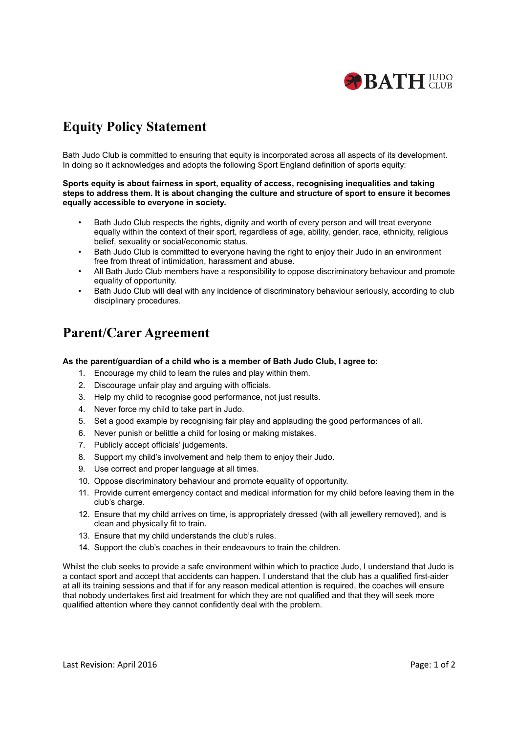

# **Equity Policy Statement**

Bath Judo Club is committed to ensuring that equity is incorporated across all aspects of its development. In doing so it acknowledges and adopts the following Sport England definition of sports equity:

### **Sports equity is about fairness in sport, equality of access, recognising inequalities and taking steps to address them. It is about changing the culture and structure of sport to ensure it becomes equally accessible to everyone in society***.*

- Bath Judo Club respects the rights, dignity and worth of every person and will treat everyone equally within the context of their sport, regardless of age, ability, gender, race, ethnicity, religious belief, sexuality or social/economic status.
- Bath Judo Club is committed to everyone having the right to enjoy their Judo in an environment free from threat of intimidation, harassment and abuse.
- All Bath Judo Club members have a responsibility to oppose discriminatory behaviour and promote equality of opportunity.
- Bath Judo Club will deal with any incidence of discriminatory behaviour seriously, according to club disciplinary procedures.

### **Parent/Carer Agreement**

### **As the parent/guardian of a child who is a member of Bath Judo Club, I agree to:**

- 1. Encourage my child to learn the rules and play within them.
- 2. Discourage unfair play and arguing with officials.
- 3. Help my child to recognise good performance, not just results.
- 4. Never force my child to take part in Judo.
- 5. Set a good example by recognising fair play and applauding the good performances of all.
- 6. Never punish or belittle a child for losing or making mistakes.
- 7. Publicly accept officials' judgements.
- 8. Support my child's involvement and help them to enjoy their Judo.
- 9. Use correct and proper language at all times.
- 10. Oppose discriminatory behaviour and promote equality of opportunity.
- 11. Provide current emergency contact and medical information for my child before leaving them in the club's charge.
- 12. Ensure that my child arrives on time, is appropriately dressed (with all jewellery removed), and is clean and physically fit to train.
- 13. Ensure that my child understands the club's rules.
- 14. Support the club's coaches in their endeavours to train the children.

Whilst the club seeks to provide a safe environment within which to practice Judo, I understand that Judo is a contact sport and accept that accidents can happen. I understand that the club has a qualified first-aider at all its training sessions and that if for any reason medical attention is required, the coaches will ensure that nobody undertakes first aid treatment for which they are not qualified and that they will seek more qualified attention where they cannot confidently deal with the problem.